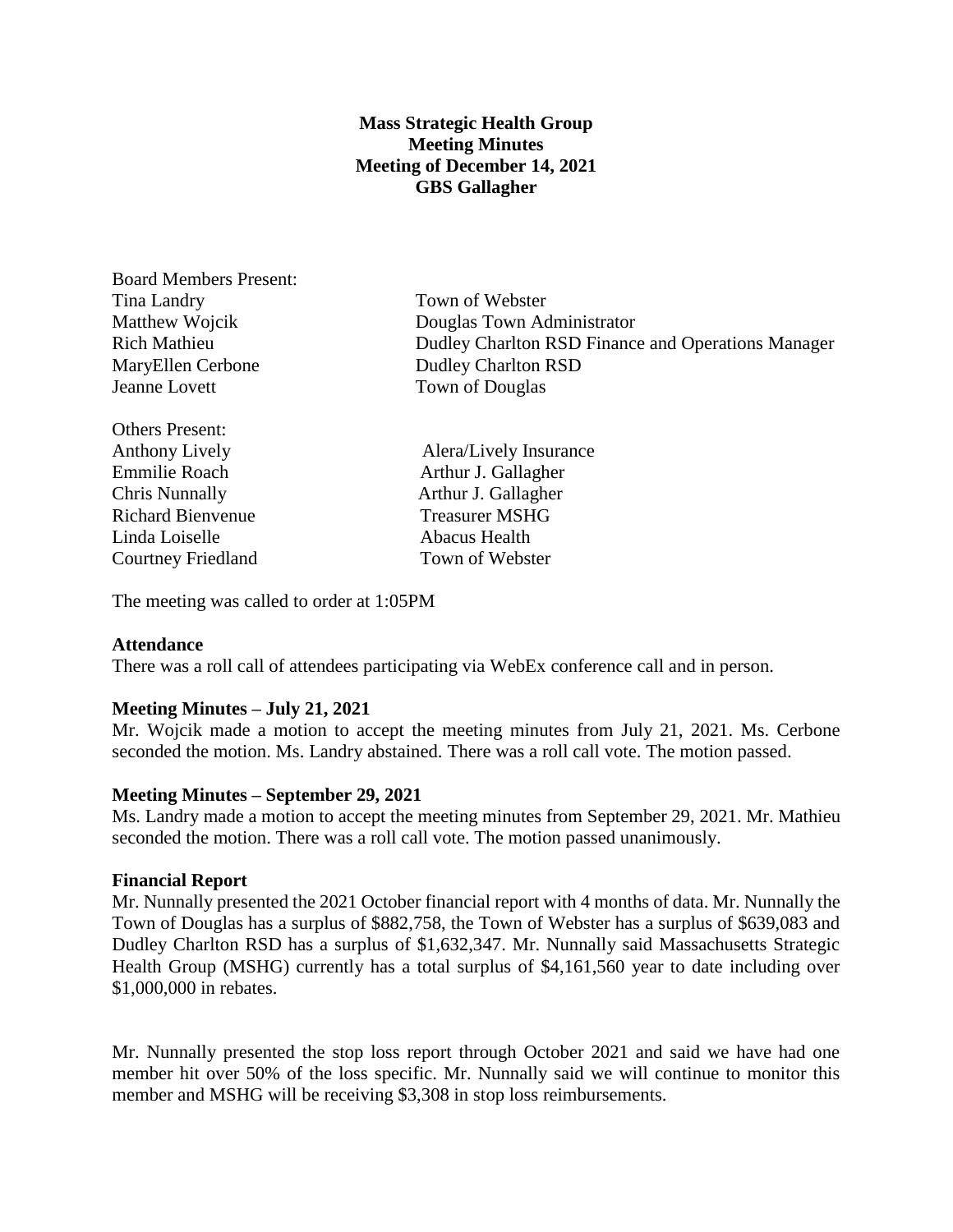# **Mass Strategic Health Group Meeting Minutes Meeting of December 14, 2021 GBS Gallagher**

Board Members Present: Tina Landry Town of Webster MaryEllen Cerbone Dudley Charlton RSD Jeanne Lovett Town of Douglas

Others Present: Emmilie Roach **Arthur J. Gallagher** Chris Nunnally Arthur J. Gallagher Richard Bienvenue Treasurer MSHG Linda Loiselle **Abacus** Health Courtney Friedland Town of Webster

Matthew Wojcik Douglas Town Administrator Rich Mathieu Dudley Charlton RSD Finance and Operations Manager

Anthony Lively **Alera** Alera Alera Alera Alera Alera Alera Alera Alera Alera Alera Alera Alera Alera Alera Alera A

The meeting was called to order at 1:05PM

### **Attendance**

There was a roll call of attendees participating via WebEx conference call and in person.

## **Meeting Minutes – July 21, 2021**

Mr. Wojcik made a motion to accept the meeting minutes from July 21, 2021. Ms. Cerbone seconded the motion. Ms. Landry abstained. There was a roll call vote. The motion passed.

### **Meeting Minutes – September 29, 2021**

Ms. Landry made a motion to accept the meeting minutes from September 29, 2021. Mr. Mathieu seconded the motion. There was a roll call vote. The motion passed unanimously.

### **Financial Report**

Mr. Nunnally presented the 2021 October financial report with 4 months of data. Mr. Nunnally the Town of Douglas has a surplus of \$882,758, the Town of Webster has a surplus of \$639,083 and Dudley Charlton RSD has a surplus of \$1,632,347. Mr. Nunnally said Massachusetts Strategic Health Group (MSHG) currently has a total surplus of \$4,161,560 year to date including over \$1,000,000 in rebates.

Mr. Nunnally presented the stop loss report through October 2021 and said we have had one member hit over 50% of the loss specific. Mr. Nunnally said we will continue to monitor this member and MSHG will be receiving \$3,308 in stop loss reimbursements.